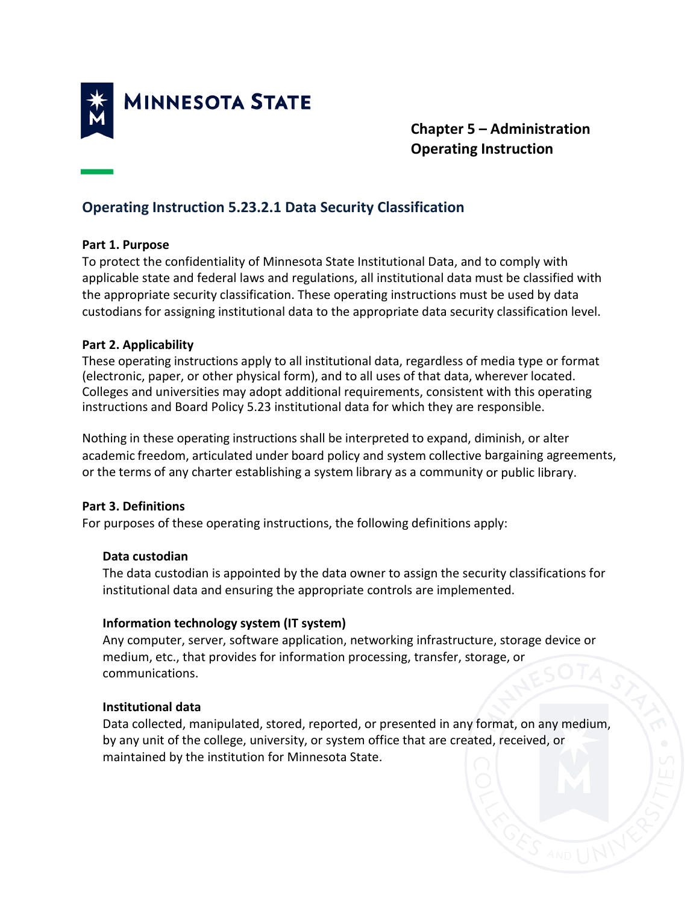

**Chapter 5 – Administration Operating Instruction**

# **Operating Instruction 5.23.2.1 Data Security Classification**

### **Part 1. Purpose**

To protect the confidentiality of Minnesota State Institutional Data, and to comply with applicable state and federal laws and regulations, all institutional data must be classified with the appropriate security classification. These operating instructions must be used by data custodians for assigning institutional data to the appropriate data security classification level.

### **Part 2. Applicability**

These operating instructions apply to all institutional data, regardless of media type or format (electronic, paper, or other physical form), and to all uses of that data, wherever located. Colleges and universities may adopt additional requirements, consistent with this operating instructions and Board Policy 5.23 institutional data for which they are responsible.

Nothing in these operating instructions shall be interpreted to expand, diminish, or alter academic freedom, articulated under board policy and system collective bargaining agreements, or the terms of any charter establishing a system library as a community or public library.

### **Part 3. Definitions**

For purposes of these operating instructions, the following definitions apply:

### **Data custodian**

The data custodian is appointed by the data owner to assign the security classifications for institutional data and ensuring the appropriate controls are implemented.

### **Information technology system (IT system)**

Any computer, server, software application, networking infrastructure, storage device or medium, etc., that provides for information processing, transfer, storage, or communications.

### **Institutional data**

Data collected, manipulated, stored, reported, or presented in any format, on any medium, by any unit of the college, university, or system office that are created, received, or maintained by the institution for Minnesota State.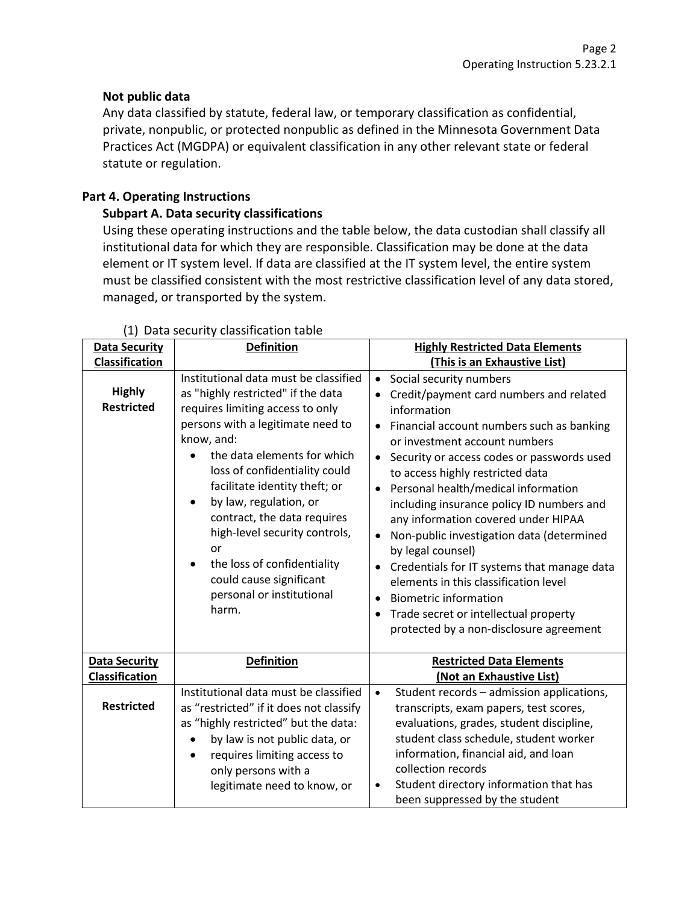### **Not public data**

Any data classified by statute, federal law, or temporary classification as confidential, private, nonpublic, or protected nonpublic as defined in the Minnesota Government Data Practices Act (MGDPA) or equivalent classification in any other relevant state or federal statute or regulation.

### **Part 4. Operating Instructions**

### **Subpart A. Data security classifications**

Using these operating instructions and the table below, the data custodian shall classify all institutional data for which they are responsible. Classification may be done at the data element or IT system level. If data are classified at the IT system level, the entire system must be classified consistent with the most restrictive classification level of any data stored, managed, or transported by the system.

| (1) Data security classification table                                                                                                                                                                                                                                                                                                                                                                                                                                                        | <b>Highly Restricted Data Elements</b>                                                                                                                                                                                                                                                                                                                                                                                                                                                                                                                                                                                                                                                                                |
|-----------------------------------------------------------------------------------------------------------------------------------------------------------------------------------------------------------------------------------------------------------------------------------------------------------------------------------------------------------------------------------------------------------------------------------------------------------------------------------------------|-----------------------------------------------------------------------------------------------------------------------------------------------------------------------------------------------------------------------------------------------------------------------------------------------------------------------------------------------------------------------------------------------------------------------------------------------------------------------------------------------------------------------------------------------------------------------------------------------------------------------------------------------------------------------------------------------------------------------|
|                                                                                                                                                                                                                                                                                                                                                                                                                                                                                               | (This is an Exhaustive List)                                                                                                                                                                                                                                                                                                                                                                                                                                                                                                                                                                                                                                                                                          |
|                                                                                                                                                                                                                                                                                                                                                                                                                                                                                               |                                                                                                                                                                                                                                                                                                                                                                                                                                                                                                                                                                                                                                                                                                                       |
| Institutional data must be classified<br>as "highly restricted" if the data<br>requires limiting access to only<br>persons with a legitimate need to<br>know, and:<br>the data elements for which<br>loss of confidentiality could<br>facilitate identity theft; or<br>by law, regulation, or<br>$\bullet$<br>contract, the data requires<br>high-level security controls,<br>or<br>the loss of confidentiality<br>$\bullet$<br>could cause significant<br>personal or institutional<br>harm. | • Social security numbers<br>Credit/payment card numbers and related<br>information<br>Financial account numbers such as banking<br>$\bullet$<br>or investment account numbers<br>Security or access codes or passwords used<br>$\bullet$<br>to access highly restricted data<br>Personal health/medical information<br>$\bullet$<br>including insurance policy ID numbers and<br>any information covered under HIPAA<br>Non-public investigation data (determined<br>by legal counsel)<br>Credentials for IT systems that manage data<br>elements in this classification level<br><b>Biometric information</b><br>$\bullet$<br>Trade secret or intellectual property<br>٠<br>protected by a non-disclosure agreement |
| <b>Definition</b>                                                                                                                                                                                                                                                                                                                                                                                                                                                                             | <b>Restricted Data Elements</b>                                                                                                                                                                                                                                                                                                                                                                                                                                                                                                                                                                                                                                                                                       |
|                                                                                                                                                                                                                                                                                                                                                                                                                                                                                               | (Not an Exhaustive List)                                                                                                                                                                                                                                                                                                                                                                                                                                                                                                                                                                                                                                                                                              |
| Institutional data must be classified<br>as "restricted" if it does not classify<br>as "highly restricted" but the data:<br>by law is not public data, or<br>requires limiting access to<br>only persons with a<br>legitimate need to know, or                                                                                                                                                                                                                                                | Student records - admission applications,<br>$\bullet$<br>transcripts, exam papers, test scores,<br>evaluations, grades, student discipline,<br>student class schedule, student worker<br>information, financial aid, and loan<br>collection records<br>Student directory information that has<br>$\bullet$                                                                                                                                                                                                                                                                                                                                                                                                           |
|                                                                                                                                                                                                                                                                                                                                                                                                                                                                                               | <b>Definition</b>                                                                                                                                                                                                                                                                                                                                                                                                                                                                                                                                                                                                                                                                                                     |

### (1) Data security classification table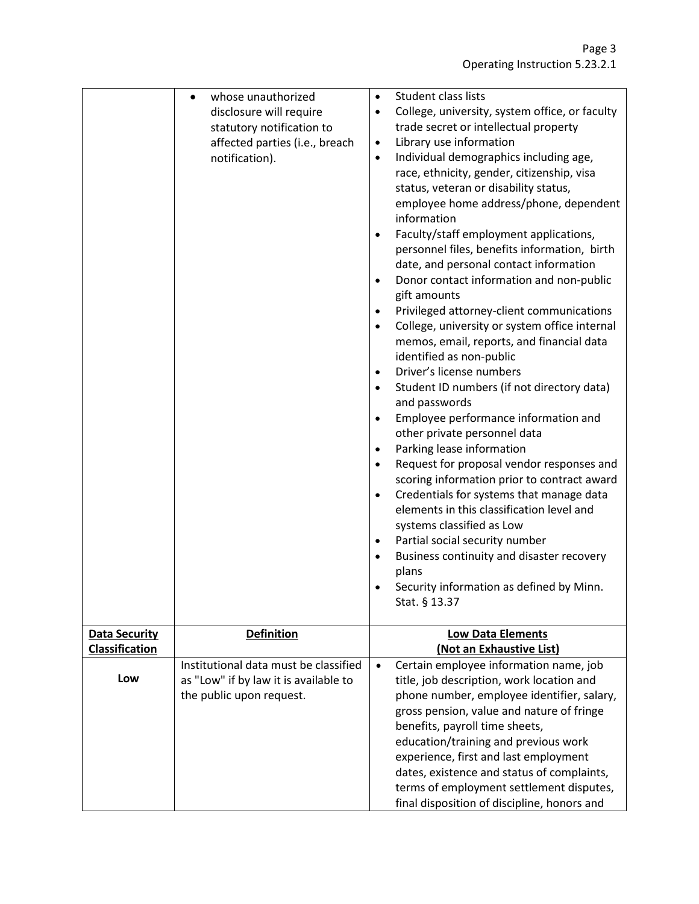|                      | whose unauthorized<br>disclosure will require<br>statutory notification to<br>affected parties (i.e., breach<br>notification). | Student class lists<br>$\bullet$<br>College, university, system office, or faculty<br>$\bullet$<br>trade secret or intellectual property<br>Library use information<br>$\bullet$<br>Individual demographics including age,<br>$\bullet$<br>race, ethnicity, gender, citizenship, visa<br>status, veteran or disability status,<br>employee home address/phone, dependent<br>information<br>Faculty/staff employment applications,<br>$\bullet$<br>personnel files, benefits information, birth<br>date, and personal contact information<br>Donor contact information and non-public<br>$\bullet$<br>gift amounts<br>Privileged attorney-client communications<br>$\bullet$<br>College, university or system office internal<br>$\bullet$<br>memos, email, reports, and financial data<br>identified as non-public<br>Driver's license numbers<br>$\bullet$<br>Student ID numbers (if not directory data)<br>$\bullet$<br>and passwords<br>Employee performance information and<br>٠<br>other private personnel data<br>Parking lease information<br>$\bullet$<br>Request for proposal vendor responses and<br>$\bullet$<br>scoring information prior to contract award<br>Credentials for systems that manage data<br>$\bullet$<br>elements in this classification level and<br>systems classified as Low<br>Partial social security number<br>٠<br>Business continuity and disaster recovery<br>$\bullet$<br>plans<br>Security information as defined by Minn.<br>$\bullet$<br>Stat. § 13.37 |
|----------------------|--------------------------------------------------------------------------------------------------------------------------------|------------------------------------------------------------------------------------------------------------------------------------------------------------------------------------------------------------------------------------------------------------------------------------------------------------------------------------------------------------------------------------------------------------------------------------------------------------------------------------------------------------------------------------------------------------------------------------------------------------------------------------------------------------------------------------------------------------------------------------------------------------------------------------------------------------------------------------------------------------------------------------------------------------------------------------------------------------------------------------------------------------------------------------------------------------------------------------------------------------------------------------------------------------------------------------------------------------------------------------------------------------------------------------------------------------------------------------------------------------------------------------------------------------------------------------------------------------------------------------------------|
| <b>Data Security</b> | <b>Definition</b>                                                                                                              | <b>Low Data Elements</b>                                                                                                                                                                                                                                                                                                                                                                                                                                                                                                                                                                                                                                                                                                                                                                                                                                                                                                                                                                                                                                                                                                                                                                                                                                                                                                                                                                                                                                                                       |
| Classification       |                                                                                                                                | (Not an Exhaustive List)                                                                                                                                                                                                                                                                                                                                                                                                                                                                                                                                                                                                                                                                                                                                                                                                                                                                                                                                                                                                                                                                                                                                                                                                                                                                                                                                                                                                                                                                       |
| Low                  | Institutional data must be classified<br>as "Low" if by law it is available to<br>the public upon request.                     | Certain employee information name, job<br>$\bullet$<br>title, job description, work location and<br>phone number, employee identifier, salary,<br>gross pension, value and nature of fringe<br>benefits, payroll time sheets,<br>education/training and previous work<br>experience, first and last employment<br>dates, existence and status of complaints,<br>terms of employment settlement disputes,<br>final disposition of discipline, honors and                                                                                                                                                                                                                                                                                                                                                                                                                                                                                                                                                                                                                                                                                                                                                                                                                                                                                                                                                                                                                                        |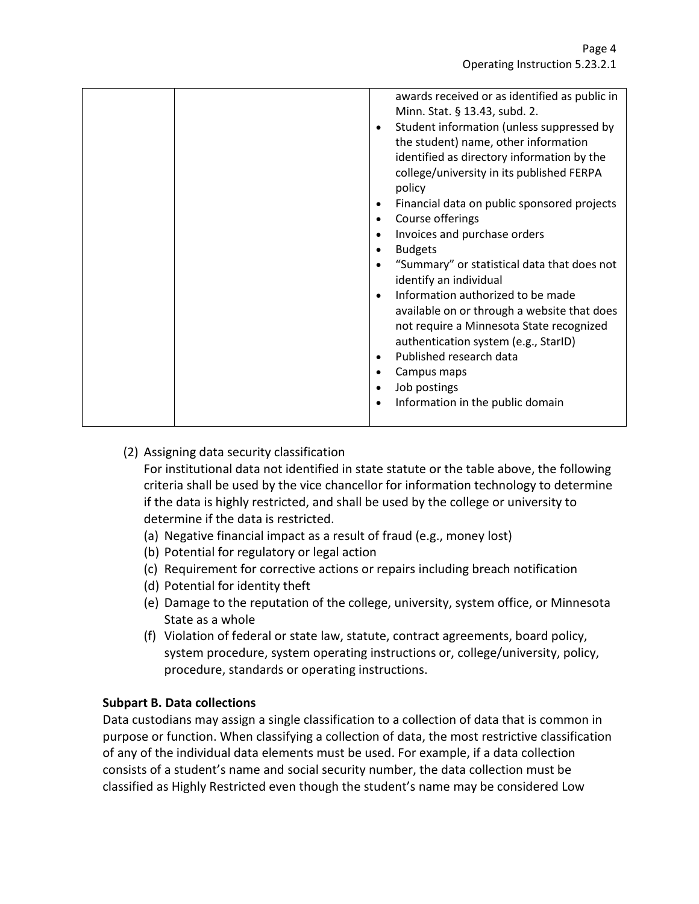|  | awards received or as identified as public in<br>Minn. Stat. § 13.43, subd. 2.<br>Student information (unless suppressed by<br>$\bullet$<br>the student) name, other information<br>identified as directory information by the<br>college/university in its published FERPA<br>policy<br>Financial data on public sponsored projects<br>$\bullet$<br>Course offerings<br>$\bullet$<br>Invoices and purchase orders<br>$\bullet$<br><b>Budgets</b><br>$\bullet$<br>"Summary" or statistical data that does not<br>$\bullet$<br>identify an individual<br>Information authorized to be made<br>$\bullet$<br>available on or through a website that does<br>not require a Minnesota State recognized<br>authentication system (e.g., StarID)<br>Published research data<br>Campus maps |
|--|-------------------------------------------------------------------------------------------------------------------------------------------------------------------------------------------------------------------------------------------------------------------------------------------------------------------------------------------------------------------------------------------------------------------------------------------------------------------------------------------------------------------------------------------------------------------------------------------------------------------------------------------------------------------------------------------------------------------------------------------------------------------------------------|
|  |                                                                                                                                                                                                                                                                                                                                                                                                                                                                                                                                                                                                                                                                                                                                                                                     |
|  | Job postings<br>$\bullet$<br>Information in the public domain                                                                                                                                                                                                                                                                                                                                                                                                                                                                                                                                                                                                                                                                                                                       |
|  |                                                                                                                                                                                                                                                                                                                                                                                                                                                                                                                                                                                                                                                                                                                                                                                     |

(2) Assigning data security classification

For institutional data not identified in state statute or the table above, the following criteria shall be used by the vice chancellor for information technology to determine if the data is highly restricted, and shall be used by the college or university to determine if the data is restricted.

- (a) Negative financial impact as a result of fraud (e.g., money lost)
- (b) Potential for regulatory or legal action
- (c) Requirement for corrective actions or repairs including breach notification
- (d) Potential for identity theft
- (e) Damage to the reputation of the college, university, system office, or Minnesota State as a whole
- (f) Violation of federal or state law, statute, contract agreements, board policy, system procedure, system operating instructions or, college/university, policy, procedure, standards or operating instructions.

### **Subpart B. Data collections**

Data custodians may assign a single classification to a collection of data that is common in purpose or function. When classifying a collection of data, the most restrictive classification of any of the individual data elements must be used. For example, if a data collection consists of a student's name and social security number, the data collection must be classified as Highly Restricted even though the student's name may be considered Low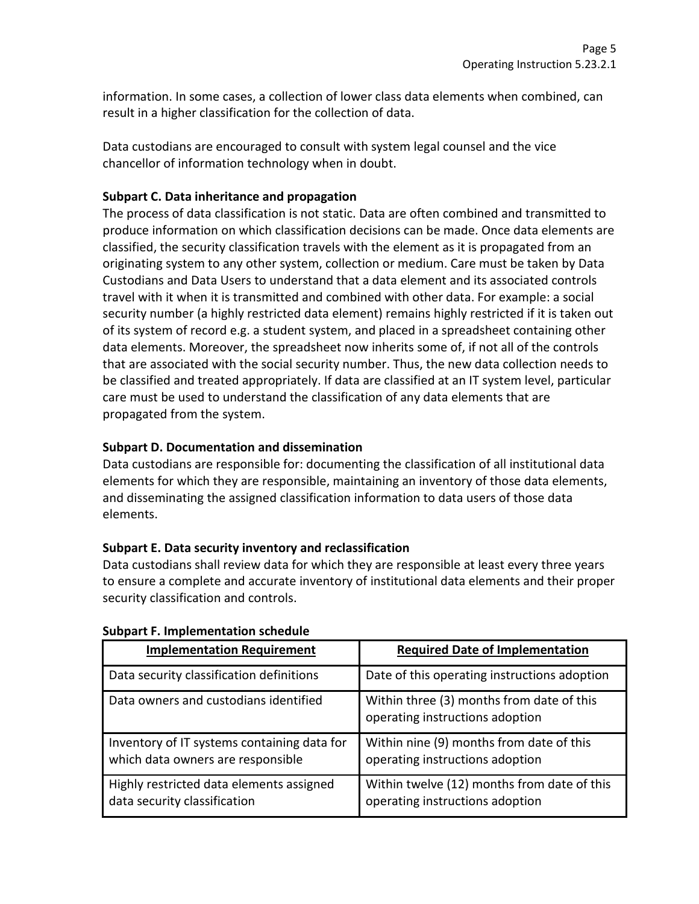information. In some cases, a collection of lower class data elements when combined, can result in a higher classification for the collection of data.

Data custodians are encouraged to consult with system legal counsel and the vice chancellor of information technology when in doubt.

## **Subpart C. Data inheritance and propagation**

The process of data classification is not static. Data are often combined and transmitted to produce information on which classification decisions can be made. Once data elements are classified, the security classification travels with the element as it is propagated from an originating system to any other system, collection or medium. Care must be taken by Data Custodians and Data Users to understand that a data element and its associated controls travel with it when it is transmitted and combined with other data. For example: a social security number (a highly restricted data element) remains highly restricted if it is taken out of its system of record e.g. a student system, and placed in a spreadsheet containing other data elements. Moreover, the spreadsheet now inherits some of, if not all of the controls that are associated with the social security number. Thus, the new data collection needs to be classified and treated appropriately. If data are classified at an IT system level, particular care must be used to understand the classification of any data elements that are propagated from the system.

# **Subpart D. Documentation and dissemination**

Data custodians are responsible for: documenting the classification of all institutional data elements for which they are responsible, maintaining an inventory of those data elements, and disseminating the assigned classification information to data users of those data elements.

### **Subpart E. Data security inventory and reclassification**

Data custodians shall review data for which they are responsible at least every three years to ensure a complete and accurate inventory of institutional data elements and their proper security classification and controls.

| <b>Implementation Requirement</b>                                                | <b>Required Date of Implementation</b>                                         |
|----------------------------------------------------------------------------------|--------------------------------------------------------------------------------|
| Data security classification definitions                                         | Date of this operating instructions adoption                                   |
| Data owners and custodians identified                                            | Within three (3) months from date of this<br>operating instructions adoption   |
| Inventory of IT systems containing data for<br>which data owners are responsible | Within nine (9) months from date of this<br>operating instructions adoption    |
| Highly restricted data elements assigned<br>data security classification         | Within twelve (12) months from date of this<br>operating instructions adoption |

### **Subpart F. Implementation schedule**